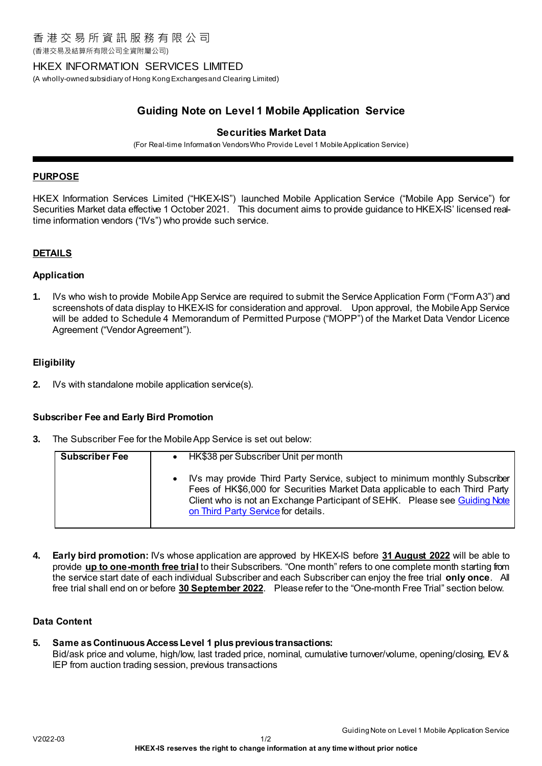(香港交易及結算所有限公司全資附屬公司)

## HKEX INFORMATION SERVICES LIMITED

(A wholly-owned subsidiary of Hong Kong Exchanges and Clearing Limited)

# **Guiding Note on Level 1 Mobile Application Service**

## **Securities Market Data**

(For Real-time Information Vendors Who Provide Level 1 Mobile Application Service)

#### **PURPOSE**

HKEX Information Services Limited ("HKEX-IS") launched Mobile Application Service ("Mobile App Service") for Securities Market data effective 1 October 2021. This document aims to provide guidance to HKEX-IS' licensed realtime information vendors ("IVs") who provide such service.

### **DETAILS**

#### **Application**

**1.** IVs who wish to provide Mobile App Service are required to submit the Service Application Form ("Form A3") and screenshots of data display to HKEX-IS for consideration and approval. Upon approval, the Mobile App Service will be added to Schedule 4 Memorandum of Permitted Purpose ("MOPP") of the Market Data Vendor Licence Agreement ("Vendor Agreement").

#### **Eligibility**

**2.** IVs with standalone mobile application service(s).

#### **Subscriber Fee and Early Bird Promotion**

**3.** The Subscriber Fee for the Mobile App Service is set out below:

| <b>Subscriber Fee</b> | HK\$38 per Subscriber Unit per month                                                                                                                                                                                                                                           |
|-----------------------|--------------------------------------------------------------------------------------------------------------------------------------------------------------------------------------------------------------------------------------------------------------------------------|
|                       | IVs may provide Third Party Service, subject to minimum monthly Subscriber<br>Fees of HK\$6,000 for Securities Market Data applicable to each Third Party<br>Client who is not an Exchange Participant of SEHK. Please see Guiding Note<br>on Third Party Service for details. |

**4. Early bird promotion:** IVs whose application are approved by HKEX-IS before **31 August 2022** will be able to provide **up to one-month free trial** to their Subscribers. "One month" refers to one complete month starting from the service start date of each individual Subscriber and each Subscriber can enjoy the free trial **only once**. All free trial shall end on or before **30 September 2022**. Please refer to the "One-month Free Trial" section below.

#### **Data Content**

**5. Same as Continuous Access Level 1 plus previous transactions:**  Bid/ask price and volume, high/low, last traded price, nominal, cumulative turnover/volume, opening/closing, IEV & IEP from auction trading session, previous transactions